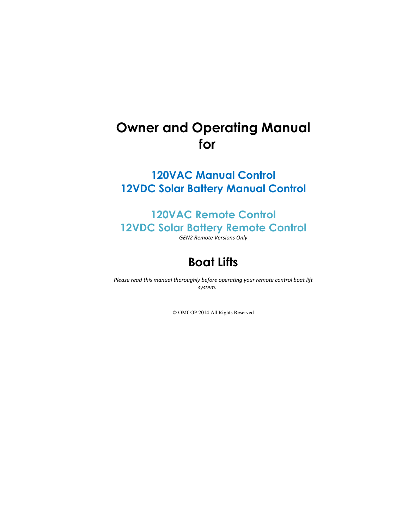# Owner and Operating Manual for

# 120VAC Manual Control 12VDC Solar Battery Manual Control

# 120VAC Remote Control 12VDC Solar Battery Remote Control

GEN2 Remote Versions Only

# Boat Lifts

Please read this manual thoroughly before operating your remote control boat lift system.

© OMCOP 2014 All Rights Reserved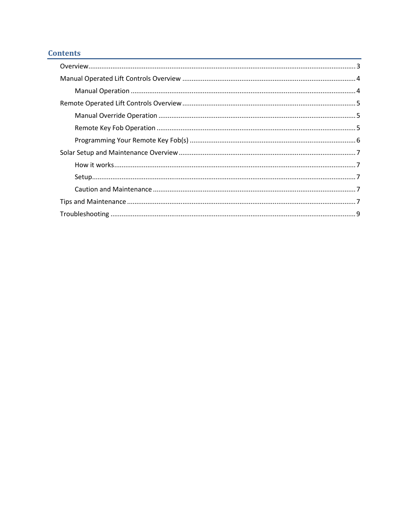# **Contents**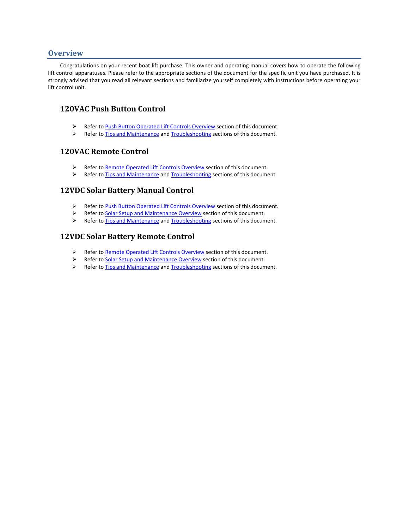### **Overview**

Congratulations on your recent boat lift purchase. This owner and operating manual covers how to operate the following lift control apparatuses. Please refer to the appropriate sections of the document for the specific unit you have purchased. It is strongly advised that you read all relevant sections and familiarize yourself completely with instructions before operating your lift control unit.

## 120VAC Push Button Control

- Refer to Push Button Operated Lift Controls Overview section of this document.
- $\triangleright$  Refer to Tips and Maintenance and Troubleshooting sections of this document.

## 120VAC Remote Control

- Refer to Remote Operated Lift Controls Overview section of this document.
- Refer to Tips and Maintenance and Troubleshooting sections of this document.

## 12VDC Solar Battery Manual Control

- Refer to Push Button Operated Lift Controls Overview section of this document.
- Refer to Solar Setup and Maintenance Overview section of this document.
- Refer to Tips and Maintenance and Troubleshooting sections of this document.

## 12VDC Solar Battery Remote Control

- Refer to Remote Operated Lift Controls Overview section of this document.
- Refer to Solar Setup and Maintenance Overview section of this document.
- Refer to Tips and Maintenance and Troubleshooting sections of this document.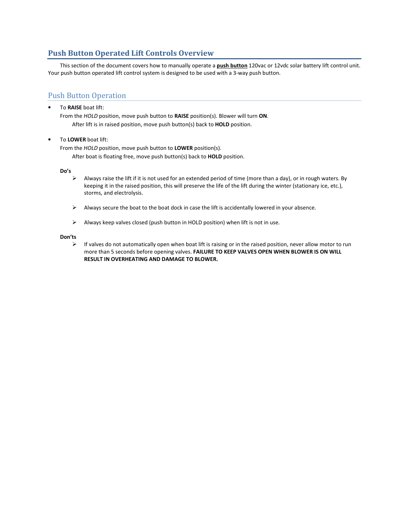## Push Button Operated Lift Controls Overview

This section of the document covers how to manually operate a **push button** 120vac or 12vdc solar battery lift control unit. Your push button operated lift control system is designed to be used with a 3-way push button.

## Push Button Operation

To RAISE boat lift:

From the HOLD position, move push button to RAISE position(s). Blower will turn ON. After lift is in raised position, move push button(s) back to **HOLD** position.

• To LOWER boat lift:

From the HOLD position, move push button to LOWER position(s).

After boat is floating free, move push button(s) back to HOLD position.

Do's

- $\triangleright$  Always raise the lift if it is not used for an extended period of time (more than a day), or in rough waters. By keeping it in the raised position, this will preserve the life of the lift during the winter (stationary ice, etc.), storms, and electrolysis.
- $\triangleright$  Always secure the boat to the boat dock in case the lift is accidentally lowered in your absence.
- $\triangleright$  Always keep valves closed (push button in HOLD position) when lift is not in use.

#### Don'ts

 $\triangleright$  If valves do not automatically open when boat lift is raising or in the raised position, never allow motor to run more than 5 seconds before opening valves. FAILURE TO KEEP VALVES OPEN WHEN BLOWER IS ON WILL RESULT IN OVERHEATING AND DAMAGE TO BLOWER.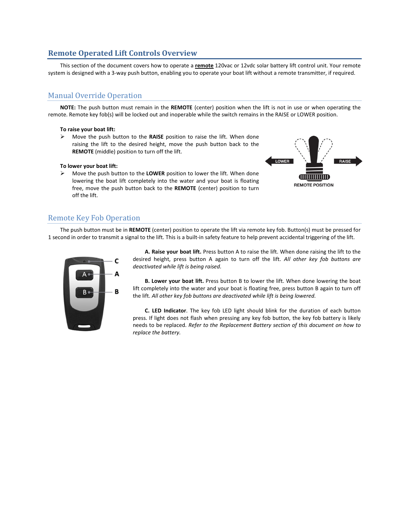## Remote Operated Lift Controls Overview

This section of the document covers how to operate a remote 120vac or 12vdc solar battery lift control unit. Your remote system is designed with a 3-way push button, enabling you to operate your boat lift without a remote transmitter, if required.

## Manual Override Operation

NOTE: The push button must remain in the REMOTE (center) position when the lift is not in use or when operating the remote. Remote key fob(s) will be locked out and inoperable while the switch remains in the RAISE or LOWER position.

#### To raise your boat lift:

 $\triangleright$  Move the push button to the RAISE position to raise the lift. When done raising the lift to the desired height, move the push button back to the REMOTE (middle) position to turn off the lift.

#### To lower your boat lift:

 $\triangleright$  Move the push button to the LOWER position to lower the lift. When done lowering the boat lift completely into the water and your boat is floating free, move the push button back to the REMOTE (center) position to turn off the lift.



## Remote Key Fob Operation

The push button must be in REMOTE (center) position to operate the lift via remote key fob. Button(s) must be pressed for 1 second in order to transmit a signal to the lift. This is a built-in safety feature to help prevent accidental triggering of the lift.



A. Raise your boat lift. Press button A to raise the lift. When done raising the lift to the desired height, press button A again to turn off the lift. All other key fob buttons are deactivated while lift is being raised.

B. Lower your boat lift. Press button B to lower the lift. When done lowering the boat lift completely into the water and your boat is floating free, press button B again to turn off the lift. All other key fob buttons are deactivated while lift is being lowered.

C. LED Indicator. The key fob LED light should blink for the duration of each button press. If light does not flash when pressing any key fob button, the key fob battery is likely needs to be replaced. Refer to the Replacement Battery section of this document on how to replace the battery.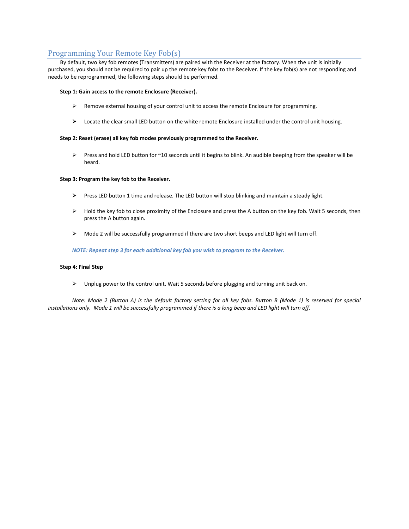## Programming Your Remote Key Fob(s)

By default, two key fob remotes (Transmitters) are paired with the Receiver at the factory. When the unit is initially purchased, you should not be required to pair up the remote key fobs to the Receiver. If the key fob(s) are not responding and needs to be reprogrammed, the following steps should be performed.

#### Step 1: Gain access to the remote Enclosure (Receiver).

- $\triangleright$  Remove external housing of your control unit to access the remote Enclosure for programming.
- $\triangleright$  Locate the clear small LED button on the white remote Enclosure installed under the control unit housing.

#### Step 2: Reset (erase) all key fob modes previously programmed to the Receiver.

Press and hold LED button for ~10 seconds until it begins to blink. An audible beeping from the speaker will be heard.

#### Step 3: Program the key fob to the Receiver.

- $\triangleright$  Press LED button 1 time and release. The LED button will stop blinking and maintain a steady light.
- $\triangleright$  Hold the key fob to close proximity of the Enclosure and press the A button on the key fob. Wait 5 seconds, then press the A button again.
- $\triangleright$  Mode 2 will be successfully programmed if there are two short beeps and LED light will turn off.

NOTE: Repeat step 3 for each additional key fob you wish to program to the Receiver.

#### Step 4: Final Step

 $\triangleright$  Unplug power to the control unit. Wait 5 seconds before plugging and turning unit back on.

Note: Mode 2 (Button A) is the default factory setting for all key fobs. Button B (Mode 1) is reserved for special installations only. Mode 1 will be successfully programmed if there is a long beep and LED light will turn off.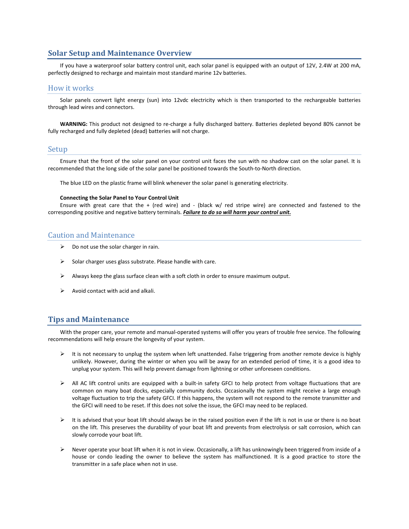### Solar Setup and Maintenance Overview

If you have a waterproof solar battery control unit, each solar panel is equipped with an output of 12V, 2.4W at 200 mA, perfectly designed to recharge and maintain most standard marine 12v batteries.

#### How it works

Solar panels convert light energy (sun) into 12vdc electricity which is then transported to the rechargeable batteries through lead wires and connectors.

WARNING: This product not designed to re-charge a fully discharged battery. Batteries depleted beyond 80% cannot be fully recharged and fully depleted (dead) batteries will not charge.

#### Setup

Ensure that the front of the solar panel on your control unit faces the sun with no shadow cast on the solar panel. It is recommended that the long side of the solar panel be positioned towards the South-to-North direction.

The blue LED on the plastic frame will blink whenever the solar panel is generating electricity.

#### Connecting the Solar Panel to Your Control Unit

Ensure with great care that the + (red wire) and - (black w/ red stripe wire) are connected and fastened to the corresponding positive and negative battery terminals. Failure to do so will harm your control unit.

### Caution and Maintenance

- $\triangleright$  Do not use the solar charger in rain.
- $\triangleright$  Solar charger uses glass substrate. Please handle with care.
- $\triangleright$  Always keep the glass surface clean with a soft cloth in order to ensure maximum output.
- $\triangleright$  Avoid contact with acid and alkali.

### Tips and Maintenance

With the proper care, your remote and manual-operated systems will offer you years of trouble free service. The following recommendations will help ensure the longevity of your system.

- $\triangleright$  It is not necessary to unplug the system when left unattended. False triggering from another remote device is highly unlikely. However, during the winter or when you will be away for an extended period of time, it is a good idea to unplug your system. This will help prevent damage from lightning or other unforeseen conditions.
- $\triangleright$  All AC lift control units are equipped with a built-in safety GFCI to help protect from voltage fluctuations that are common on many boat docks, especially community docks. Occasionally the system might receive a large enough voltage fluctuation to trip the safety GFCI. If this happens, the system will not respond to the remote transmitter and the GFCI will need to be reset. If this does not solve the issue, the GFCI may need to be replaced.
- $\triangleright$  It is advised that your boat lift should always be in the raised position even if the lift is not in use or there is no boat on the lift. This preserves the durability of your boat lift and prevents from electrolysis or salt corrosion, which can slowly corrode your boat lift.
- $\triangleright$  Never operate your boat lift when it is not in view. Occasionally, a lift has unknowingly been triggered from inside of a house or condo leading the owner to believe the system has malfunctioned. It is a good practice to store the transmitter in a safe place when not in use.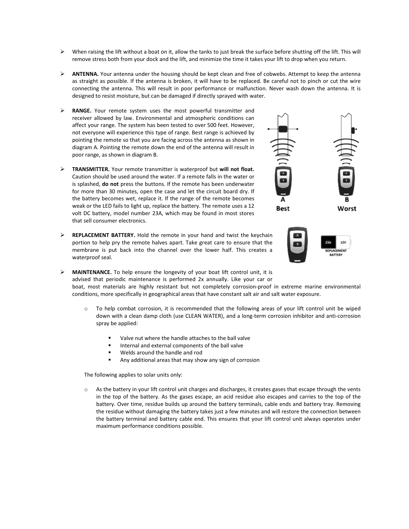- $\triangleright$  When raising the lift without a boat on it, allow the tanks to just break the surface before shutting off the lift. This will remove stress both from your dock and the lift, and minimize the time it takes your lift to drop when you return.
- $\triangleright$  ANTENNA. Your antenna under the housing should be kept clean and free of cobwebs. Attempt to keep the antenna as straight as possible. If the antenna is broken, it will have to be replaced. Be careful not to pinch or cut the wire connecting the antenna. This will result in poor performance or malfunction. Never wash down the antenna. It is designed to resist moisture, but can be damaged if directly sprayed with water.
- $\triangleright$  RANGE. Your remote system uses the most powerful transmitter and receiver allowed by law. Environmental and atmospheric conditions can affect your range. The system has been tested to over 500 feet. However, not everyone will experience this type of range. Best range is achieved by pointing the remote so that you are facing across the antenna as shown in diagram A. Pointing the remote down the end of the antenna will result in poor range, as shown in diagram B.
- TRANSMITTER. Your remote transmitter is waterproof but will not float. Caution should be used around the water. If a remote falls in the water or is splashed, do not press the buttons. If the remote has been underwater for more than 30 minutes, open the case and let the circuit board dry. If the battery becomes wet, replace it. If the range of the remote becomes weak or the LED fails to light up, replace the battery. The remote uses a 12 volt DC battery, model number 23A, which may be found in most stores that sell consumer electronics.
- > REPLACEMENT BATTERY. Hold the remote in your hand and twist the keychain portion to help pry the remote halves apart. Take great care to ensure that the membrane is put back into the channel over the lower half. This creates a waterproof seal.





> MAINTENANCE. To help ensure the longevity of your boat lift control unit, it is advised that periodic maintenance is performed 2x annually. Like your car or boat, most materials are highly resistant but not completely corrosion-proof in extreme marine environmental conditions, more specifically in geographical areas that have constant salt air and salt water exposure.

- $\circ$  To help combat corrosion, it is recommended that the following areas of your lift control unit be wiped down with a clean damp cloth (use CLEAN WATER), and a long-term corrosion inhibitor and anti-corrosion spray be applied:
	- -Valve nut where the handle attaches to the ball valve
	- -Internal and external components of the ball valve
	- -Welds around the handle and rod
	- -Any additional areas that may show any sign of corrosion

The following applies to solar units only:

As the battery in your lift control unit charges and discharges, it creates gases that escape through the vents in the top of the battery. As the gases escape, an acid residue also escapes and carries to the top of the battery. Over time, residue builds up around the battery terminals, cable ends and battery tray. Removing the residue without damaging the battery takes just a few minutes and will restore the connection between the battery terminal and battery cable end. This ensures that your lift control unit always operates under maximum performance conditions possible.